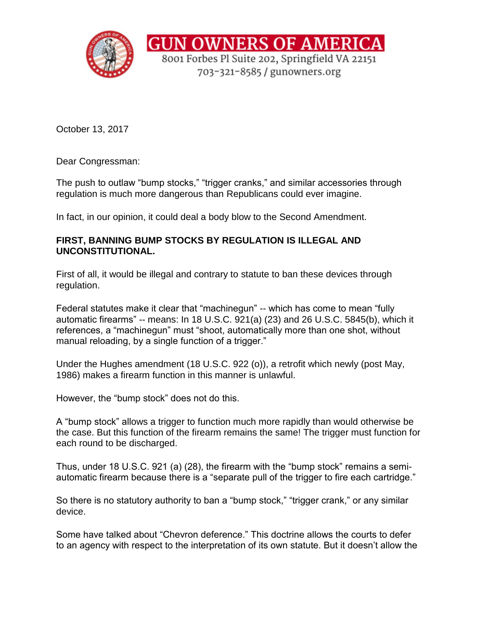

October 13, 2017

Dear Congressman:

The push to outlaw "bump stocks," "trigger cranks," and similar accessories through regulation is much more dangerous than Republicans could ever imagine.

In fact, in our opinion, it could deal a body blow to the Second Amendment.

## **FIRST, BANNING BUMP STOCKS BY REGULATION IS ILLEGAL AND UNCONSTITUTIONAL.**

First of all, it would be illegal and contrary to statute to ban these devices through regulation.

Federal statutes make it clear that "machinegun" -- which has come to mean "fully automatic firearms" -- means: In 18 U.S.C. 921(a) (23) and 26 U.S.C. 5845(b), which it references, a "machinegun" must "shoot, automatically more than one shot, without manual reloading, by a single function of a trigger."

Under the Hughes amendment (18 U.S.C. 922 (o)), a retrofit which newly (post May, 1986) makes a firearm function in this manner is unlawful.

However, the "bump stock" does not do this.

A "bump stock" allows a trigger to function much more rapidly than would otherwise be the case. But this function of the firearm remains the same! The trigger must function for each round to be discharged.

Thus, under 18 U.S.C. 921 (a) (28), the firearm with the "bump stock" remains a semiautomatic firearm because there is a "separate pull of the trigger to fire each cartridge."

So there is no statutory authority to ban a "bump stock," "trigger crank," or any similar device.

Some have talked about "Chevron deference." This doctrine allows the courts to defer to an agency with respect to the interpretation of its own statute. But it doesn't allow the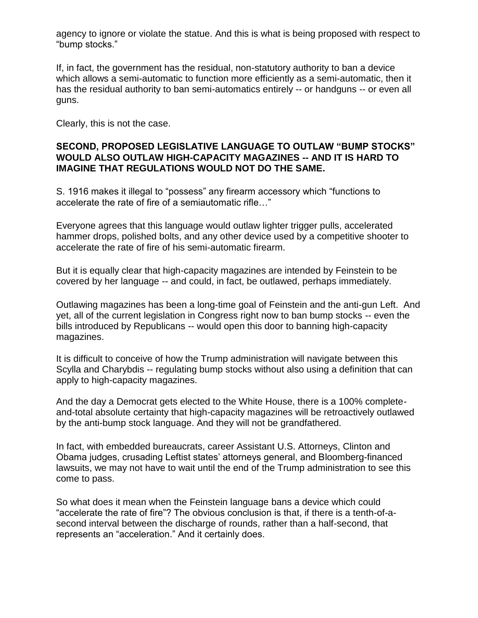agency to ignore or violate the statue. And this is what is being proposed with respect to "bump stocks."

If, in fact, the government has the residual, non-statutory authority to ban a device which allows a semi-automatic to function more efficiently as a semi-automatic, then it has the residual authority to ban semi-automatics entirely -- or handguns -- or even all guns.

Clearly, this is not the case.

## **SECOND, PROPOSED LEGISLATIVE LANGUAGE TO OUTLAW "BUMP STOCKS" WOULD ALSO OUTLAW HIGH-CAPACITY MAGAZINES -- AND IT IS HARD TO IMAGINE THAT REGULATIONS WOULD NOT DO THE SAME.**

S. 1916 makes it illegal to "possess" any firearm accessory which "functions to accelerate the rate of fire of a semiautomatic rifle…"

Everyone agrees that this language would outlaw lighter trigger pulls, accelerated hammer drops, polished bolts, and any other device used by a competitive shooter to accelerate the rate of fire of his semi-automatic firearm.

But it is equally clear that high-capacity magazines are intended by Feinstein to be covered by her language -- and could, in fact, be outlawed, perhaps immediately.

Outlawing magazines has been a long-time goal of Feinstein and the anti-gun Left. And yet, all of the current legislation in Congress right now to ban bump stocks -- even the bills introduced by Republicans -- would open this door to banning high-capacity magazines.

It is difficult to conceive of how the Trump administration will navigate between this Scylla and Charybdis -- regulating bump stocks without also using a definition that can apply to high-capacity magazines.

And the day a Democrat gets elected to the White House, there is a 100% completeand-total absolute certainty that high-capacity magazines will be retroactively outlawed by the anti-bump stock language. And they will not be grandfathered.

In fact, with embedded bureaucrats, career Assistant U.S. Attorneys, Clinton and Obama judges, crusading Leftist states' attorneys general, and Bloomberg-financed lawsuits, we may not have to wait until the end of the Trump administration to see this come to pass.

So what does it mean when the Feinstein language bans a device which could "accelerate the rate of fire"? The obvious conclusion is that, if there is a tenth-of-asecond interval between the discharge of rounds, rather than a half-second, that represents an "acceleration." And it certainly does.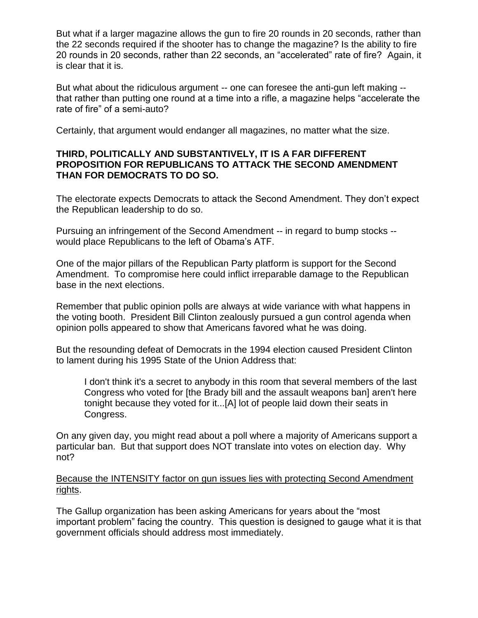But what if a larger magazine allows the gun to fire 20 rounds in 20 seconds, rather than the 22 seconds required if the shooter has to change the magazine? Is the ability to fire 20 rounds in 20 seconds, rather than 22 seconds, an "accelerated" rate of fire? Again, it is clear that it is.

But what about the ridiculous argument -- one can foresee the anti-gun left making - that rather than putting one round at a time into a rifle, a magazine helps "accelerate the rate of fire" of a semi-auto?

Certainly, that argument would endanger all magazines, no matter what the size.

## **THIRD, POLITICALLY AND SUBSTANTIVELY, IT IS A FAR DIFFERENT PROPOSITION FOR REPUBLICANS TO ATTACK THE SECOND AMENDMENT THAN FOR DEMOCRATS TO DO SO.**

The electorate expects Democrats to attack the Second Amendment. They don't expect the Republican leadership to do so.

Pursuing an infringement of the Second Amendment -- in regard to bump stocks - would place Republicans to the left of Obama's ATF.

One of the major pillars of the Republican Party platform is support for the Second Amendment. To compromise here could inflict irreparable damage to the Republican base in the next elections.

Remember that public opinion polls are always at wide variance with what happens in the voting booth. President Bill Clinton zealously pursued a gun control agenda when opinion polls appeared to show that Americans favored what he was doing.

But the resounding defeat of Democrats in the 1994 election caused President Clinton to lament during his 1995 State of the Union Address that:

I don't think it's a secret to anybody in this room that several members of the last Congress who voted for [the Brady bill and the assault weapons ban] aren't here tonight because they voted for it...[A] lot of people laid down their seats in Congress.

On any given day, you might read about a poll where a majority of Americans support a particular ban. But that support does NOT translate into votes on election day. Why not?

Because the INTENSITY factor on gun issues lies with protecting Second Amendment rights.

The Gallup organization has been asking Americans for years about the "most important problem" facing the country. This question is designed to gauge what it is that government officials should address most immediately.